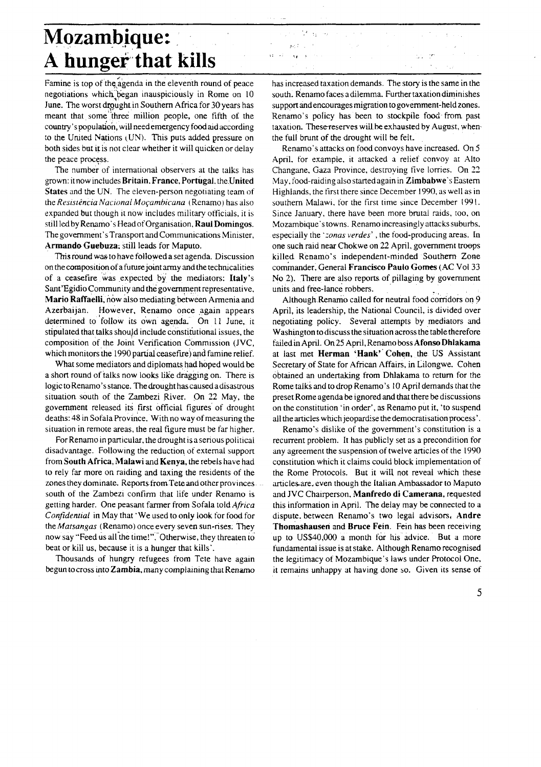## **Mozambique:** A hunger that kills

Famine is top of the agenda in the eleventh round of peace negotiations which began inauspiciously in Rome on 10 June. The worst drought in Southern Africa for 30 years has meant that some three million people, one fifth of the country's population, will need emergency food aid according to the United Nations (UN). This puts added pressure on both sides but it is not clear whether it will quicken or delay the neace process.

The number of international observers at the talks has grown: it now includes Britain, France, Portugal, the United States and the UN. The eleven-person negotiating team of the Resistência Nacional Moçambicana (Renamo) has also expanded but though it now includes military officials, it is still led by Renamo's Head of Organisation, Raul Domingos. The government's Transport and Communications Minister, Armando Guebuza; still leads for Maputo.

This round was to have followed a set agenda. Discussion on the composition of a future joint army and the technicalities of a ceasefire was expected by the mediators: Italy's Sant'Egidio Community and the government representative, Mario Raffaelli, now also mediating between Armenia and Azerbaijan. However, Renamo once again appears determined to follow its own agenda. On 11 June, it stipulated that talks should include constitutional issues, the composition of the Joint Verification Commission (JVC, which monitors the 1990 partial ceasefire) and famine relief.

What some mediators and diplomats had hoped would be a short round of talks now looks like dragging on. There is logic to Renamo's stance. The drought has caused a disastrous situation south of the Zambezi River. On 22 May, the government released its first official figures of drought deaths: 48 in Sofala Province, With no way of measuring the situation in remote areas, the real figure must be far higher.

For Renamo in particular, the drought is a serious political disadvantage. Following the reduction of external support from South Africa, Malawi and Kenya, the rebels have had to rely far more on raiding and taxing the residents of the zones they dominate. Reports from Tete and other provinces south of the Zambezi confirm that life under Renamo is getting harder. One peasant farmer from Sofala told Africa Confidential in May that 'We used to only look for food for the Matsangas (Renamo) once every seven sun-rises. They now say "Feed us all the time!". Otherwise, they threaten to beat or kill us, because it is a hunger that kills'.

Thousands of hungry refugees from Tete have again begun to cross into Zambia, many complaining that Renamo has increased taxation demands. The story is the same in the south. Renamo faces a dilemma. Further taxation diminishes support and encourages migration to government-held zones. Renamo's policy has been to stockpile food from past taxation. These reserves will be exhausted by August, when the full brunt of the drought will be felt.

te si وأردوا

Renamo's attacks on food convoys have increased. On 5 April, for example, it attacked a relief convoy at Alto Changane, Gaza Province, destroving five lorries. On 22 May, food-raiding also started again in Zimbabwe's Eastern Highlands, the first there since December 1990, as well as in southern Malawi, for the first time since December 1991. Since January, there have been more brutal raids, too, on Mozambique's towns. Renamo increasingly attacks suburbs, especially the '*zonas verdes*', the food-producing areas. In one such raid near Chokwe on 22 April, government troops killed Renamo's independent-minded Southern Zone commander. General Francisco Paulo Gomes (AC Vol 33 No 2). There are also reports of pillaging by government units and free-lance robbers.

Although Renamo called for neutral food corridors on 9 April, its leadership, the National Council, is divided over negotiating policy. Several attempts by mediators and Washington to discuss the situation across the table therefore failed in April. On 25 April. Renamo boss Afonso Dhlakama at last met Herman 'Hank' Cohen, the US Assistant Secretary of State for African Affairs, in Lilongwe. Cohen obtained an undertaking from Dhlakama to return for the Rome talks and to drop Renamo's 10 April demands that the preset Rome agenda be ignored and that there be discussions on the constitution 'in order', as Renamo put it, 'to suspend all the articles which jeopardise the democratisation process'.

Renamo's dislike of the government's constitution is a recurrent problem. It has publicly set as a precondition for any agreement the suspension of twelve articles of the 1990 constitution which it claims could block implementation of the Rome Protocols. But it will not reveal which these articles are, even though the Italian Ambassador to Maputo and JVC Chairperson, Manfredo di Camerana, requested this information in April. The delay may be connected to a dispute, between Renamo's two legal advisors, Andre Thomashausen and Bruce Fein. Fein has been receiving up to US\$40,000 a month for his advice. But a more fundamental issue is at stake. Although Renamo recognised the legitimacy of Mozambique's laws under Protocol One, it remains unhappy at having done so. Given its sense of